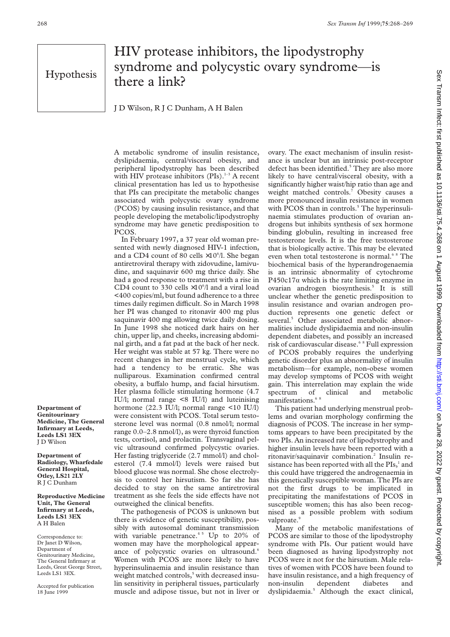## HIV protease inhibitors, the lipodystrophy syndrome and polycystic ovary syndrome—is there a link?

J D Wilson, R J C Dunham, A H Balen

A metabolic syndrome of insulin resistance, dyslipidaemia, central/visceral obesity, and peripheral lipodystrophy has been described with HIV protease inhibitors (PIs). $1-3$  A recent clinical presentation has led us to hypothesise that PIs can precipitate the metabolic changes associated with polycystic ovary syndrome (PCOS) by causing insulin resistance, and that people developing the metabolic/lipodystrophy syndrome may have genetic predisposition to PCOS.

In February 1997, a 37 year old woman presented with newly diagnosed HIV-1 infection, and a CD4 count of 80 cells  $\times 10^{6}/1$ . She began antiretroviral therapy with zidovudine, lamivudine, and saquinavir 600 mg thrice daily. She had a good response to treatment with a rise in CD4 count to 330 cells  $\times 10^{6}/$ l and a viral load <400 copies/ml, but found adherence to a three times daily regimen difficult. So in March 1998 her PI was changed to ritonavir 400 mg plus saquinavir 400 mg allowing twice daily dosing. In June 1998 she noticed dark hairs on her chin, upper lip, and cheeks, increasing abdominal girth, and a fat pad at the back of her neck. Her weight was stable at 57 kg. There were no recent changes in her menstrual cycle, which had a tendency to be erratic. She was nulliparous. Examination confirmed central obesity, a buffalo hump, and facial hirsutism. Her plasma follicle stimulating hormone (4.7 IU/l; normal range <8 IU/l) and luteinising hormone (22.3 IU/l; normal range <10 IU/l) were consistent with PCOS. Total serum testosterone level was normal (0.8 nmol/l; normal range 0.0–2.8 nmol/l), as were thyroid function tests, cortisol, and prolactin. Transvaginal pelvic ultrasound confirmed polycystic ovaries. Her fasting triglyceride (2.7 mmol/l) and cholesterol (7.4 mmol/l) levels were raised but blood glucose was normal. She chose electrolysis to control her hirsutism. So far she has decided to stay on the same antiretroviral treatment as she feels the side effects have not outweighed the clinical benefits.

The pathogenesis of PCOS is unknown but there is evidence of genetic susceptibility, possibly with autosomal dominant transmission with variable penetrance.<sup>45</sup> Up to 20% of women may have the morphological appearance of polycystic ovaries on ultrasound.<sup>6</sup> Women with PCOS are more likely to have hyperinsulinaemia and insulin resistance than weight matched controls,<sup>5</sup> with decreased insulin sensitivity in peripheral tissues, particularly muscle and adipose tissue, but not in liver or

ovary. The exact mechanism of insulin resistance is unclear but an intrinsic post-receptor defect has been identified.<sup>5</sup> They are also more likely to have central/visceral obesity, with a significantly higher waist/hip ratio than age and weight matched controls.<sup>7</sup> Obesity causes a more pronounced insulin resistance in women with PCOS than in controls.<sup>5</sup> The hyperinsulinaemia stimulates production of ovarian androgens but inhibits synthesis of sex hormone binding globulin, resulting in increased free testosterone levels. It is the free testosterone that is biologically active. This may be elevated even when total testosterone is normal.<sup>68</sup> The biochemical basis of the hyperandrogenaemia is an intrinsic abnormality of cytochrome  $P450c17\alpha$  which is the rate limiting enzyme in ovarian androgen biosynthesis.<sup>5</sup> It is still unclear whether the genetic predisposition to insulin resistance and ovarian androgen production represents one genetic defect or several.<sup>5</sup> Other associated metabolic abnormalities include dyslipidaemia and non-insulin dependent diabetes, and possibly an increased risk of cardiovascular disease.<sup>6</sup> <sup>8</sup> Full expression of PCOS probably requires the underlying genetic disorder plus an abnormality of insulin metabolism—for example, non-obese women may develop symptoms of PCOS with weight gain. This interrelation may explain the wide spectrum of clinical and metabolic manifestations.  $\!6$   $\,8$ 

This patient had underlying menstrual problems and ovarian morphology confirming the diagnosis of PCOS. The increase in her symptoms appears to have been precipitated by the two PIs. An increased rate of lipodystrophy and higher insulin levels have been reported with a ritonavir/saquinavir combination.2 Insulin resistance has been reported with all the PIs, and this could have triggered the androgenaemia in this genetically susceptible woman. The PIs are not the first drugs to be implicated in precipitating the manifestations of PCOS in susceptible women; this has also been recognised as a possible problem with sodium valproate.9

Many of the metabolic manifestations of PCOS are similar to those of the lipodystrophy syndrome with PIs. Our patient would have been diagnosed as having lipodystrophy not PCOS were it not for the hirsutism. Male relatives of women with PCOS have been found to have insulin resistance, and a high frequency of non-insulin dependent diabetes and dyslipidaemia.5 Although the exact clinical,

**Department of Genitourinary Medicine, The General Infirmary at Leeds, Leeds LS1 3EX** J D Wilson

**Department of Radiology, Wharfedale General Hospital, Otley, LS21 2LY** R J C Dunham

**Reproductive Medicine Unit, The General Infirmary at Leeds, Leeds LS1 3EX** A H Balen

Correspondence to: Dr Janet D Wilson, Department of Genitourinary Medicine, The General Infirmary at Leeds, Great George Street, Leeds LS1 3EX.

Accepted for publication 18 June 1999